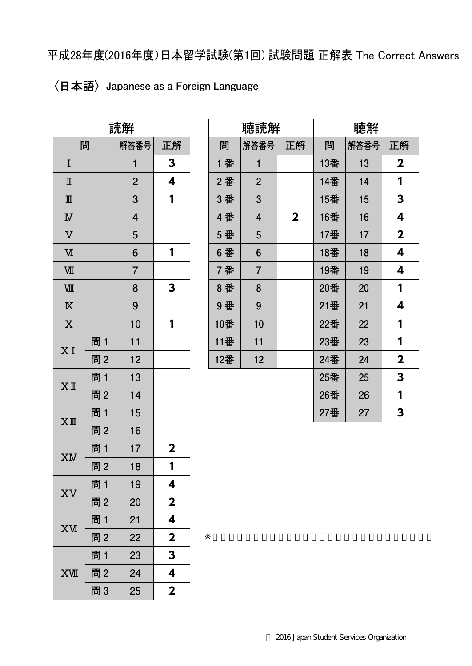平成28年度(2016年度)日本留学試験(第1回) 試験問題 正解表 The Correct Answers

## 〈日本語〉 Japanese as a Foreign Language

| 読解                      |     |                |                         |
|-------------------------|-----|----------------|-------------------------|
|                         | 問   | 解答番号           | 正解                      |
| I                       |     | 1              | 3                       |
| $\mathbb I$             |     | $\overline{c}$ | 4                       |
| $\mathbb{I}$            |     | 3              | 1                       |
| $\overline{\mathbf{W}}$ |     | 4              |                         |
| $\overline{V}$          |     | 5              |                         |
| $\overline{\mathbf{M}}$ |     | 6              | 1                       |
| VШ                      |     | $\overline{7}$ |                         |
| VШ                      |     | 8              | 3                       |
| $\overline{\mathbb{X}}$ |     | 9              |                         |
| $\overline{\text{X}}$   |     | 10             | 1                       |
| XI                      | 問 1 | 11             |                         |
|                         | 問2  | 12             |                         |
|                         | 問1  | 13             |                         |
| ΧI                      | 問2  | 14             |                         |
| $XI\!\!I\!\!I$          | 問 1 | 15             |                         |
|                         | 問2  | 16             |                         |
| XM                      | 問 1 | 17             | $\overline{\mathbf{2}}$ |
|                         | 問2  | 18             | 1                       |
|                         | 問1  | 19             | 4                       |
| XV                      | 問2  | 20             | $\mathbf{2}$            |
| XИ                      | 問1  | 21             | 4                       |
|                         | 問2  | 22             | $\overline{\mathbf{2}}$ |
|                         | 問1  | 23             | 3                       |
| XVII                    | 問2  | 24             | 4                       |
|                         | 問3  | 25             | $\overline{\mathbf{2}}$ |

| 聴読解 |                |                         | 聴解  |      |                         |
|-----|----------------|-------------------------|-----|------|-------------------------|
| 問   | 解答番号           | 正解                      | 問   | 解答番号 | 正解                      |
| 1 番 | $\mathbf{1}$   |                         | 13番 | 13   | $\mathbf 2$             |
| 2番  | $\overline{2}$ |                         | 14番 | 14   | 1                       |
| 3 番 | 3              |                         | 15番 | 15   | 3                       |
| 4番  | 4              | $\overline{\mathbf{2}}$ | 16番 | 16   | 4                       |
| 5 番 | 5              |                         | 17番 | 17   | $\overline{\mathbf{2}}$ |
| 6番  | 6              |                         | 18番 | 18   | 4                       |
| 7番  | $\overline{7}$ |                         | 19番 | 19   | 4                       |
| 8番  | 8              |                         | 20番 | 20   | 1                       |
| 9番  | 9              |                         | 21番 | 21   | 4                       |
| 10番 | 10             |                         | 22番 | 22   | 1                       |
| 11番 | 11             |                         | 23番 | 23   | 1                       |
| 12番 | 12             |                         | 24番 | 24   | $\mathbf 2$             |
|     |                |                         | 25番 | 25   | 3                       |
|     |                |                         | 26番 | 26   | 1                       |
|     |                |                         | 27番 | 27   | 3                       |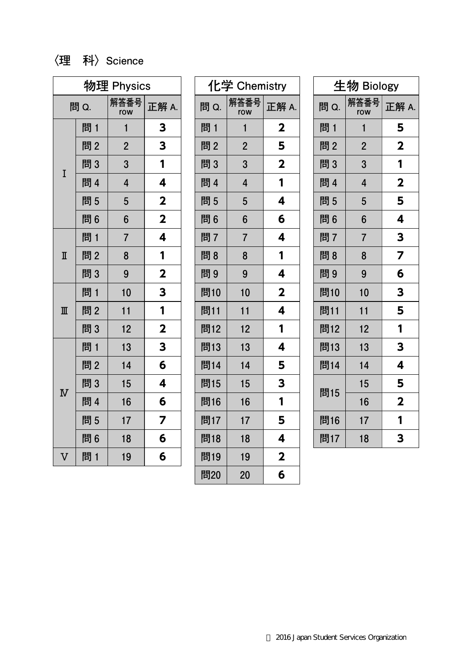## 〈理 科〉 Science

| 物理 Physics              |     |                |                         |
|-------------------------|-----|----------------|-------------------------|
| 問 Q.                    |     | 解答番号<br>row    | 正解 A.                   |
|                         | 問 1 | 1              | 3                       |
|                         | 問2  | $\overline{2}$ | 3                       |
| I                       | 問3  | 3              | 1                       |
|                         | 問 4 | $\overline{4}$ | 4                       |
|                         | 問5  | 5              | $\overline{\mathbf{2}}$ |
|                         | 問6  | 6              | $\mathbf 2$             |
|                         | 問1  | $\overline{7}$ | 4                       |
| $\overline{\mathbb{I}}$ | 問2  | 8              | 1                       |
|                         | 問3  | 9              | $\mathbf 2$             |
|                         | 問 1 | 10             | 3                       |
| $\mathbb{I}$            | 問2  | 11             | 1                       |
|                         | 問3  | 12             | $\mathbf{2}$            |
| $\overline{\text{N}}$   | 問1  | 13             | 3                       |
|                         | 問2  | 14             | 6                       |
|                         | 問3  | 15             | 4                       |
|                         | 問 4 | 16             | 6                       |
|                         | 問5  | 17             | 7                       |
|                         | 問6  | 18             | 6                       |
| V                       | 問1  | 19             | 6                       |

| 化学 Chemistry |                |                         |
|--------------|----------------|-------------------------|
| 問 Q.         | 解答番号<br>row    | 正解 A.                   |
| 問 1          | 1              | $\mathbf 2$             |
| 問2           | $\overline{2}$ | 5                       |
| 問3           | 3              | $\overline{\mathbf{2}}$ |
| 問 4          | 4              | 1                       |
| 問5           | 5              | 4                       |
| 問6           | 6              | 6                       |
| 問7           | 7              | 4                       |
| 問8           | 8              | 1                       |
| 問9           | 9              | 4                       |
| 問10          | 10             | $\overline{\mathbf{2}}$ |
| 問11          | 11             | 4                       |
| 問12          | 12             | 1                       |
| 問13          | 13             | 4                       |
| 問14          | 14             | 5                       |
| 問15          | 15             | 3                       |
| 問16          | 16             | 1                       |
| 問17          | 17             | 5                       |
| 問18          | 18             | 4                       |
| 問19          | 19             | $\overline{\mathbf{2}}$ |
| 問20          | 20             | 6                       |

| 生物 Biology |                |                         |  |
|------------|----------------|-------------------------|--|
| 問 Q.       | 解答番号<br>row    | 正解 A.                   |  |
| 問 1        | 1              | 5                       |  |
| 問2         | $\overline{2}$ | $\overline{\mathbf{2}}$ |  |
| 問3         | 3              | 1                       |  |
| 問 4        | 4              | $\mathbf{2}$            |  |
| 問5         | 5              | 5                       |  |
| 問6         | 6              | 4                       |  |
| 問7         | $\overline{7}$ | 3                       |  |
| 問8         | 8              | $\overline{\mathbf{z}}$ |  |
| 問9         | 9              | 6                       |  |
| 問10        | 10             | 3                       |  |
| 問11        | 11             | 5                       |  |
| 問12        | 12             | 1                       |  |
| 問13        | 13             | 3                       |  |
| 問14        | 14             | 4                       |  |
|            | 15             | 5                       |  |
| 問15        | 16             | $\mathbf{2}$            |  |
| 問16        | 17             | 1                       |  |
| 問17        | 18             | 3                       |  |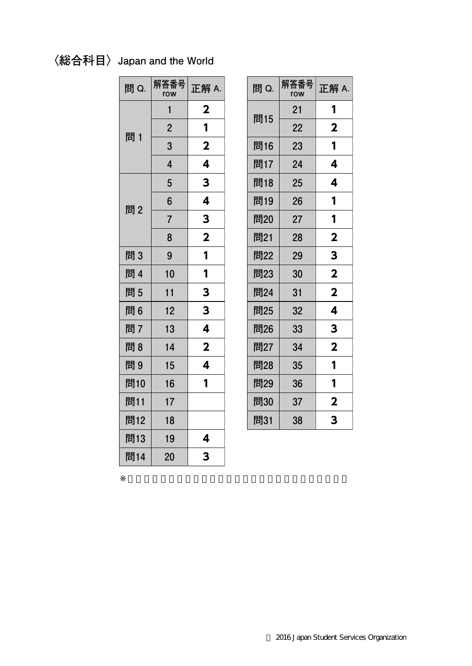## 〈総合科目〉 Japan and the World

| 問 Q. | 解答番号<br>row    | 正解 A.                   |
|------|----------------|-------------------------|
|      | 1              | $\mathbf 2$             |
| 問1   | $\overline{2}$ | 1                       |
|      | 3              | $\overline{\mathbf{2}}$ |
|      | $\overline{4}$ | 4                       |
|      | 5              | 3                       |
| 問2   | 6              | 4                       |
|      | $\overline{7}$ | 3                       |
|      | 8              | $\overline{\mathbf{2}}$ |
| 問3   | 9              | 1                       |
| 問 4  | 10             | 1                       |
| 問5   | 11             | 3                       |
| 問6   | 12             | 3                       |
| 問7   | 13             | 4                       |
| 問8   | 14             | $\overline{\mathbf{2}}$ |
| 問9   | 15             | 4                       |
| 問10  | 16             | 1                       |
| 問11  | 17             |                         |
| 問12  | 18             |                         |
| 問13  | 19             | 4                       |
| 問14  | 20             | 3                       |

| 問 Q. | 解答番号<br>row | 正解 A.                   |
|------|-------------|-------------------------|
|      | 21          | 1                       |
| 問15  | 22          | $\overline{\mathbf{2}}$ |
| 問16  | 23          | 1                       |
| 問17  | 24          | 4                       |
| 問18  | 25          | 4                       |
| 問19  | 26          | 1                       |
| 問20  | 27          | 1                       |
| 問21  | 28          | $\overline{\mathbf{2}}$ |
| 問22  | 29          | 3                       |
| 問23  | 30          | $\overline{\mathbf{2}}$ |
| 問24  | 31          | $\overline{\mathbf{2}}$ |
| 問25  | 32          | 4                       |
| 問26  | 33          | 3                       |
| 問27  | 34          | $\overline{\mathbf{2}}$ |
| 問28  | 35          | 1                       |
| 問29  | 36          | 1                       |
| 問30  | 37          | $\mathbf 2$             |
| 問31  | 38          | 3                       |